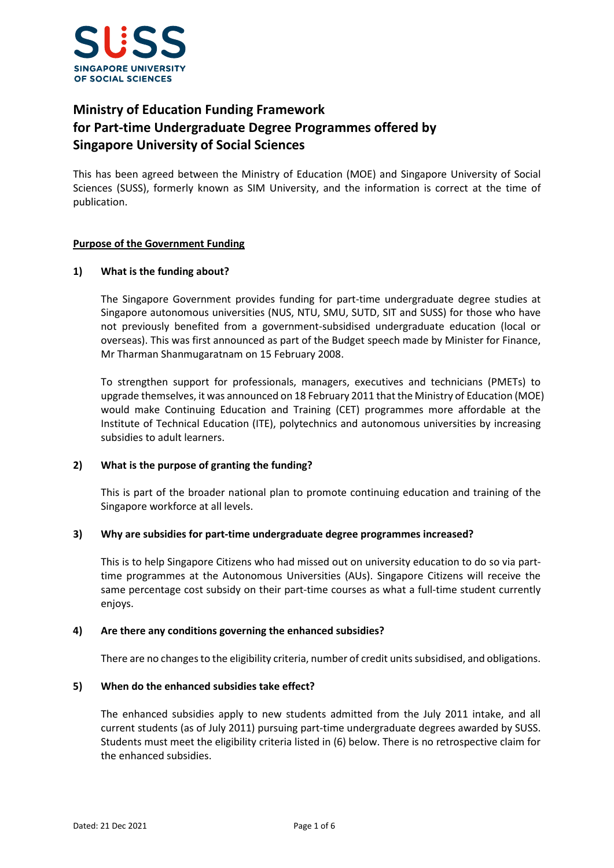

# **Ministry of Education Funding Framework for Part-time Undergraduate Degree Programmes offered by Singapore University of Social Sciences**

This has been agreed between the Ministry of Education (MOE) and Singapore University of Social Sciences (SUSS), formerly known as SIM University, and the information is correct at the time of publication.

## **Purpose of the Government Funding**

## **1) What is the funding about?**

The Singapore Government provides funding for part-time undergraduate degree studies at Singapore autonomous universities (NUS, NTU, SMU, SUTD, SIT and SUSS) for those who have not previously benefited from a government-subsidised undergraduate education (local or overseas). This was first announced as part of the Budget speech made by Minister for Finance, Mr Tharman Shanmugaratnam on 15 February 2008.

To strengthen support for professionals, managers, executives and technicians (PMETs) to upgrade themselves, it was announced on 18 February 2011 that the Ministry of Education (MOE) would make Continuing Education and Training (CET) programmes more affordable at the Institute of Technical Education (ITE), polytechnics and autonomous universities by increasing subsidies to adult learners.

## **2) What is the purpose of granting the funding?**

This is part of the broader national plan to promote continuing education and training of the Singapore workforce at all levels.

## **3) Why are subsidies for part-time undergraduate degree programmes increased?**

This is to help Singapore Citizens who had missed out on university education to do so via parttime programmes at the Autonomous Universities (AUs). Singapore Citizens will receive the same percentage cost subsidy on their part-time courses as what a full-time student currently enjoys.

## **4) Are there any conditions governing the enhanced subsidies?**

There are no changes to the eligibility criteria, number of credit units subsidised, and obligations.

## **5) When do the enhanced subsidies take effect?**

The enhanced subsidies apply to new students admitted from the July 2011 intake, and all current students (as of July 2011) pursuing part-time undergraduate degrees awarded by SUSS. Students must meet the eligibility criteria listed in (6) below. There is no retrospective claim for the enhanced subsidies.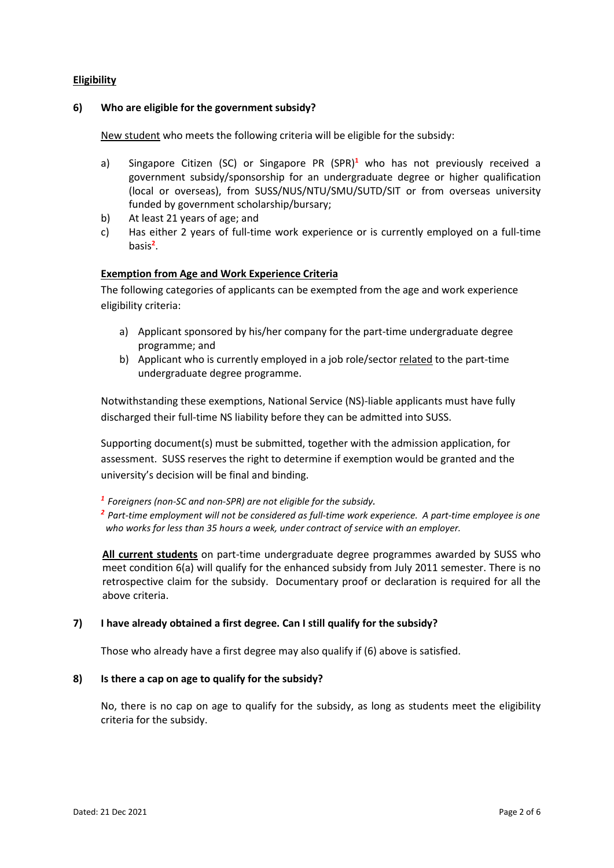## **Eligibility**

#### **6) Who are eligible for the government subsidy?**

New student who meets the following criteria will be eligible for the subsidy:

- a) Singapore Citizen (SC) or Singapore PR (SPR)**<sup>1</sup>** who has not previously received a government subsidy/sponsorship for an undergraduate degree or higher qualification (local or overseas), from SUSS/NUS/NTU/SMU/SUTD/SIT or from overseas university funded by government scholarship/bursary;
- b) At least 21 years of age; and
- c) Has either 2 years of full-time work experience or is currently employed on a full-time basis**<sup>2</sup>** .

#### **Exemption from Age and Work Experience Criteria**

The following categories of applicants can be exempted from the age and work experience eligibility criteria:

- a) Applicant sponsored by his/her company for the part-time undergraduate degree programme; and
- b) Applicant who is currently employed in a job role/sector related to the part-time undergraduate degree programme.

Notwithstanding these exemptions, National Service (NS)-liable applicants must have fully discharged their full-time NS liability before they can be admitted into SUSS.

Supporting document(s) must be submitted, together with the admission application, for assessment. SUSS reserves the right to determine if exemption would be granted and the university's decision will be final and binding.

*<sup>1</sup> Foreigners (non-SC and non-SPR) are not eligible for the subsidy.* 

*<sup>2</sup> Part-time employment will not be considered as full-time work experience. A part-time employee is one who works for less than 35 hours a week, under contract of service with an employer.* 

**All current students** on part-time undergraduate degree programmes awarded by SUSS who meet condition 6(a) will qualify for the enhanced subsidy from July 2011 semester. There is no retrospective claim for the subsidy. Documentary proof or declaration is required for all the above criteria.

## **7) I have already obtained a first degree. Can I still qualify for the subsidy?**

Those who already have a first degree may also qualify if (6) above is satisfied.

#### **8) Is there a cap on age to qualify for the subsidy?**

No, there is no cap on age to qualify for the subsidy, as long as students meet the eligibility criteria for the subsidy.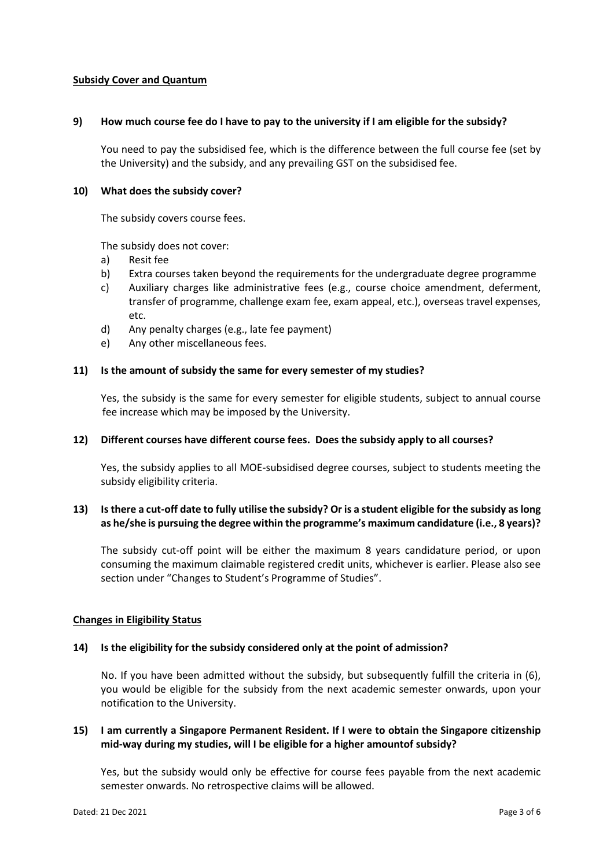### **Subsidy Cover and Quantum**

#### **9) How much course fee do I have to pay to the university if I am eligible for the subsidy?**

You need to pay the subsidised fee, which is the difference between the full course fee (set by the University) and the subsidy, and any prevailing GST on the subsidised fee.

#### **10) What does the subsidy cover?**

The subsidy covers course fees.

The subsidy does not cover:

- a) Resit fee
- b) Extra courses taken beyond the requirements for the undergraduate degree programme
- c) Auxiliary charges like administrative fees (e.g., course choice amendment, deferment, transfer of programme, challenge exam fee, exam appeal, etc.), overseas travel expenses, etc.
- d) Any penalty charges (e.g., late fee payment)
- e) Any other miscellaneous fees.

#### **11) Is the amount of subsidy the same for every semester of my studies?**

Yes, the subsidy is the same for every semester for eligible students, subject to annual course fee increase which may be imposed by the University.

#### **12) Different courses have different course fees. Does the subsidy apply to all courses?**

Yes, the subsidy applies to all MOE-subsidised degree courses, subject to students meeting the subsidy eligibility criteria.

# **13) Is there a cut-off date to fully utilise the subsidy? Or is a student eligible for the subsidy as long as he/she is pursuing the degree within the programme's maximum candidature (i.e., 8 years)?**

The subsidy cut-off point will be either the maximum 8 years candidature period, or upon consuming the maximum claimable registered credit units, whichever is earlier. Please also see section under "Changes to Student's Programme of Studies".

## **Changes in Eligibility Status**

#### **14) Is the eligibility for the subsidy considered only at the point of admission?**

No. If you have been admitted without the subsidy, but subsequently fulfill the criteria in (6), you would be eligible for the subsidy from the next academic semester onwards, upon your notification to the University.

## **15) I am currently a Singapore Permanent Resident. If I were to obtain the Singapore citizenship mid-way during my studies, will I be eligible for a higher amountof subsidy?**

Yes, but the subsidy would only be effective for course fees payable from the next academic semester onwards. No retrospective claims will be allowed.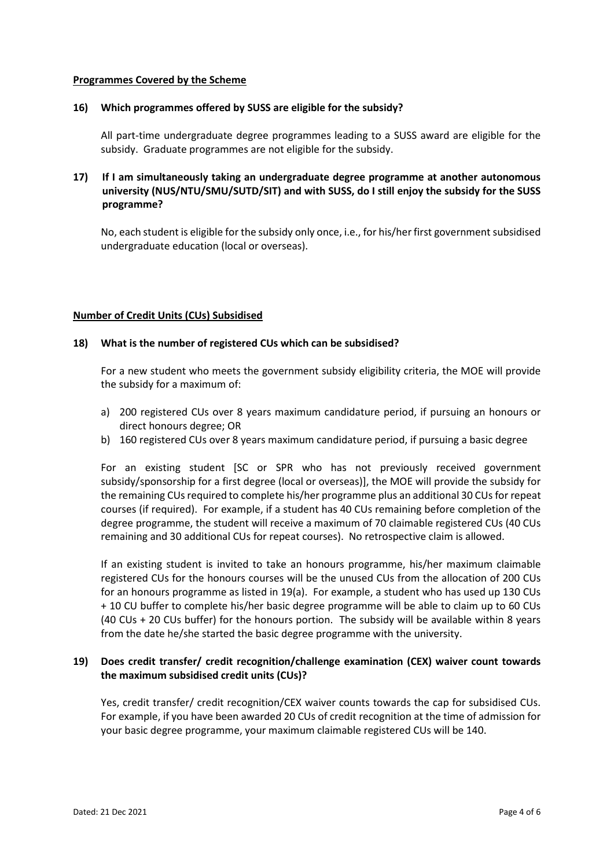#### **Programmes Covered by the Scheme**

# **16) Which programmes offered by SUSS are eligible for the subsidy?**

All part-time undergraduate degree programmes leading to a SUSS award are eligible for the subsidy. Graduate programmes are not eligible for the subsidy.

# **17) If I am simultaneously taking an undergraduate degree programme at another autonomous university (NUS/NTU/SMU/SUTD/SIT) and with SUSS, do I still enjoy the subsidy for the SUSS programme?**

No, each student is eligible for the subsidy only once, i.e., for his/her first government subsidised undergraduate education (local or overseas).

#### **Number of Credit Units (CUs) Subsidised**

#### **18) What is the number of registered CUs which can be subsidised?**

For a new student who meets the government subsidy eligibility criteria, the MOE will provide the subsidy for a maximum of:

- a) 200 registered CUs over 8 years maximum candidature period, if pursuing an honours or direct honours degree; OR
- b) 160 registered CUs over 8 years maximum candidature period, if pursuing a basic degree

For an existing student [SC or SPR who has not previously received government subsidy/sponsorship for a first degree (local or overseas)], the MOE will provide the subsidy for the remaining CUs required to complete his/her programme plus an additional 30 CUs for repeat courses (if required). For example, if a student has 40 CUs remaining before completion of the degree programme, the student will receive a maximum of 70 claimable registered CUs (40 CUs remaining and 30 additional CUs for repeat courses). No retrospective claim is allowed.

If an existing student is invited to take an honours programme, his/her maximum claimable registered CUs for the honours courses will be the unused CUs from the allocation of 200 CUs for an honours programme as listed in 19(a). For example, a student who has used up 130 CUs + 10 CU buffer to complete his/her basic degree programme will be able to claim up to 60 CUs (40 CUs + 20 CUs buffer) for the honours portion. The subsidy will be available within 8 years from the date he/she started the basic degree programme with the university.

# **19) Does credit transfer/ credit recognition/challenge examination (CEX) waiver count towards the maximum subsidised credit units (CUs)?**

Yes, credit transfer/ credit recognition/CEX waiver counts towards the cap for subsidised CUs. For example, if you have been awarded 20 CUs of credit recognition at the time of admission for your basic degree programme, your maximum claimable registered CUs will be 140.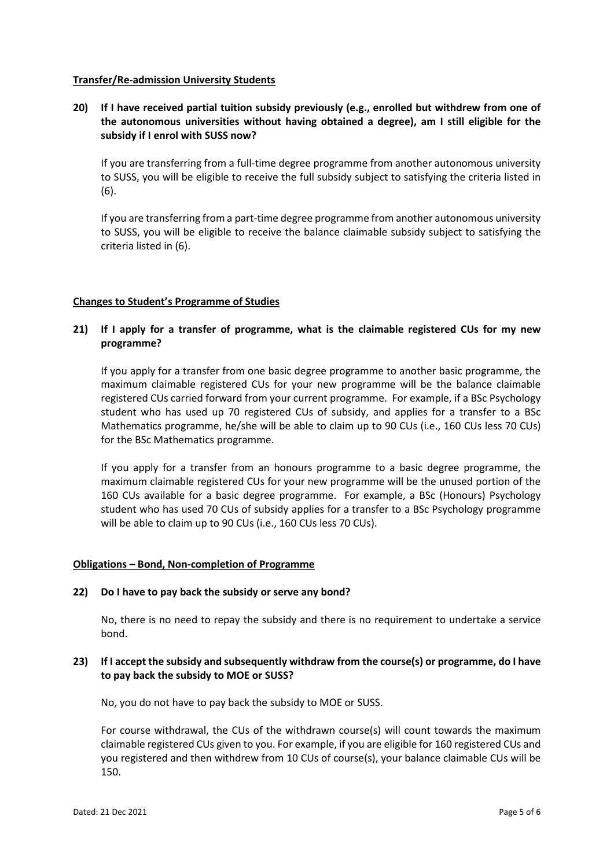## **Transfer/Re-admission University Students**

**20) If I have received partial tuition subsidy previously (e.g., enrolled but withdrew from one of the autonomous universities without having obtained a degree), am I still eligible for the subsidy if I enrol with SUSS now?** 

If you are transferring from a full-time degree programme from another autonomous university to SUSS, you will be eligible to receive the full subsidy subject to satisfying the criteria listed in (6).

If you are transferring from a part-time degree programme from another autonomous university to SUSS, you will be eligible to receive the balance claimable subsidy subject to satisfying the criteria listed in (6).

#### **Changes to Student's Programme of Studies**

# **21) If I apply for a transfer of programme, what is the claimable registered CUs for my new programme?**

If you apply for a transfer from one basic degree programme to another basic programme, the maximum claimable registered CUs for your new programme will be the balance claimable registered CUs carried forward from your current programme. For example, if a BSc Psychology student who has used up 70 registered CUs of subsidy, and applies for a transfer to a BSc Mathematics programme, he/she will be able to claim up to 90 CUs (i.e., 160 CUs less 70 CUs) for the BSc Mathematics programme.

If you apply for a transfer from an honours programme to a basic degree programme, the maximum claimable registered CUs for your new programme will be the unused portion of the 160 CUs available for a basic degree programme. For example, a BSc (Honours) Psychology student who has used 70 CUs of subsidy applies for a transfer to a BSc Psychology programme will be able to claim up to 90 CUs (i.e., 160 CUs less 70 CUs).

#### **Obligations – Bond, Non-completion of Programme**

#### **22) Do I have to pay back the subsidy or serve any bond?**

No, there is no need to repay the subsidy and there is no requirement to undertake a service bond.

## **23) If I accept the subsidy and subsequently withdraw from the course(s) or programme, do I have to pay back the subsidy to MOE or SUSS?**

No, you do not have to pay back the subsidy to MOE or SUSS.

For course withdrawal, the CUs of the withdrawn course(s) will count towards the maximum claimable registered CUs given to you. For example, if you are eligible for 160 registered CUs and you registered and then withdrew from 10 CUs of course(s), your balance claimable CUs will be 150.